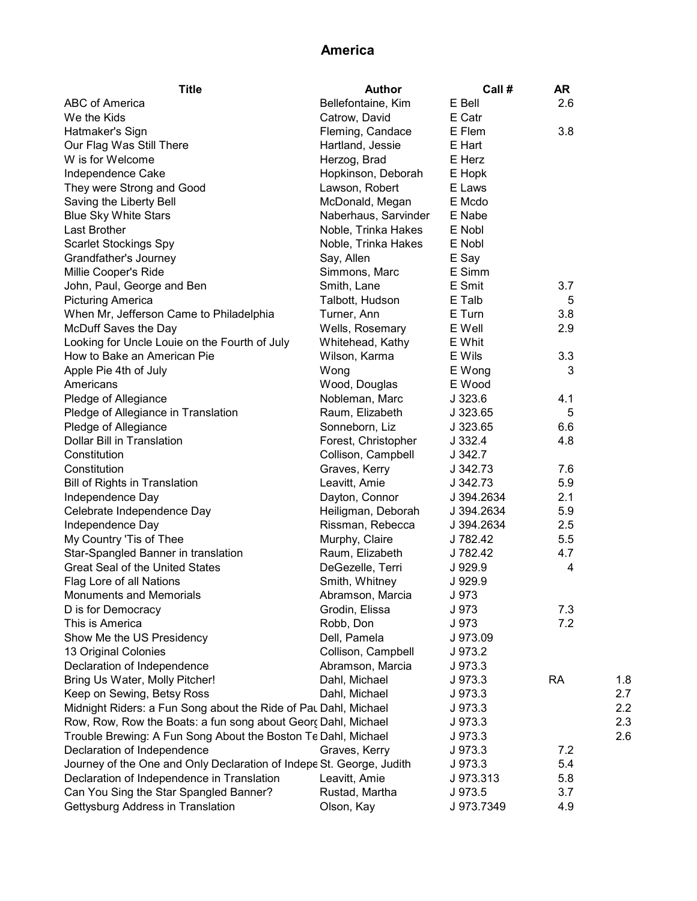## America

| <b>Title</b>                                                         | Author               | Call #     | AR        |     |
|----------------------------------------------------------------------|----------------------|------------|-----------|-----|
| <b>ABC of America</b>                                                | Bellefontaine, Kim   | E Bell     | 2.6       |     |
| We the Kids                                                          | Catrow, David        | E Catr     |           |     |
| Hatmaker's Sign                                                      | Fleming, Candace     | E Flem     | 3.8       |     |
| Our Flag Was Still There                                             | Hartland, Jessie     | E Hart     |           |     |
| W is for Welcome                                                     | Herzog, Brad         | E Herz     |           |     |
| Independence Cake                                                    | Hopkinson, Deborah   | E Hopk     |           |     |
| They were Strong and Good                                            | Lawson, Robert       | E Laws     |           |     |
| Saving the Liberty Bell                                              | McDonald, Megan      | E Mcdo     |           |     |
| <b>Blue Sky White Stars</b>                                          | Naberhaus, Sarvinder | E Nabe     |           |     |
| Last Brother                                                         | Noble, Trinka Hakes  | E Nobl     |           |     |
| <b>Scarlet Stockings Spy</b>                                         | Noble, Trinka Hakes  | E Nobl     |           |     |
| Grandfather's Journey                                                | Say, Allen           | E Say      |           |     |
| Millie Cooper's Ride                                                 | Simmons, Marc        | E Simm     |           |     |
| John, Paul, George and Ben                                           | Smith, Lane          | E Smit     | 3.7       |     |
| <b>Picturing America</b>                                             | Talbott, Hudson      | E Talb     | 5         |     |
| When Mr, Jefferson Came to Philadelphia                              | Turner, Ann          | E Turn     | 3.8       |     |
| McDuff Saves the Day                                                 | Wells, Rosemary      | E Well     | 2.9       |     |
| Looking for Uncle Louie on the Fourth of July                        | Whitehead, Kathy     | E Whit     |           |     |
| How to Bake an American Pie                                          | Wilson, Karma        | E Wils     | 3.3       |     |
| Apple Pie 4th of July                                                | Wong                 | E Wong     | 3         |     |
| Americans                                                            | Wood, Douglas        | E Wood     |           |     |
| Pledge of Allegiance                                                 | Nobleman, Marc       | $J$ 323.6  | 4.1       |     |
| Pledge of Allegiance in Translation                                  | Raum, Elizabeth      | J 323.65   | 5         |     |
| Pledge of Allegiance                                                 | Sonneborn, Liz       | J 323.65   | 6.6       |     |
| Dollar Bill in Translation                                           | Forest, Christopher  | J 332.4    | 4.8       |     |
| Constitution                                                         | Collison, Campbell   | J 342.7    |           |     |
| Constitution                                                         | Graves, Kerry        | J 342.73   | 7.6       |     |
| Bill of Rights in Translation                                        | Leavitt, Amie        | J 342.73   | 5.9       |     |
| Independence Day                                                     | Dayton, Connor       | J 394.2634 | 2.1       |     |
| Celebrate Independence Day                                           | Heiligman, Deborah   | J 394.2634 | 5.9       |     |
| Independence Day                                                     | Rissman, Rebecca     | J 394.2634 | 2.5       |     |
| My Country 'Tis of Thee                                              | Murphy, Claire       | J 782.42   | 5.5       |     |
| Star-Spangled Banner in translation                                  | Raum, Elizabeth      | J 782.42   | 4.7       |     |
| <b>Great Seal of the United States</b>                               | DeGezelle, Terri     | J 929.9    | 4         |     |
| Flag Lore of all Nations                                             | Smith, Whitney       | J 929.9    |           |     |
| <b>Monuments and Memorials</b>                                       | Abramson, Marcia     | J 973      |           |     |
| D is for Democracy                                                   | Grodin, Elissa       | J 973      | 7.3       |     |
| This is America                                                      | Robb, Don            | J 973      | 7.2       |     |
| Show Me the US Presidency                                            | Dell, Pamela         | J 973.09   |           |     |
| 13 Original Colonies                                                 | Collison, Campbell   | J 973.2    |           |     |
| Declaration of Independence                                          | Abramson, Marcia     | J973.3     |           |     |
| Bring Us Water, Molly Pitcher!                                       | Dahl, Michael        | J 973.3    | <b>RA</b> | 1.8 |
| Keep on Sewing, Betsy Ross                                           | Dahl, Michael        | J 973.3    |           | 2.7 |
| Midnight Riders: a Fun Song about the Ride of Pat Dahl, Michael      |                      | J 973.3    |           | 2.2 |
| Row, Row, Row the Boats: a fun song about Georç Dahl, Michael        |                      | J 973.3    |           | 2.3 |
| Trouble Brewing: A Fun Song About the Boston Te Dahl, Michael        |                      | J 973.3    |           | 2.6 |
| Declaration of Independence                                          | Graves, Kerry        | J 973.3    | 7.2       |     |
| Journey of the One and Only Declaration of Indepe St. George, Judith |                      | J 973.3    | 5.4       |     |
| Declaration of Independence in Translation                           | Leavitt, Amie        | J 973.313  | 5.8       |     |
| Can You Sing the Star Spangled Banner?                               | Rustad, Martha       | J 973.5    | 3.7       |     |
| Gettysburg Address in Translation                                    | Olson, Kay           | J 973.7349 | 4.9       |     |